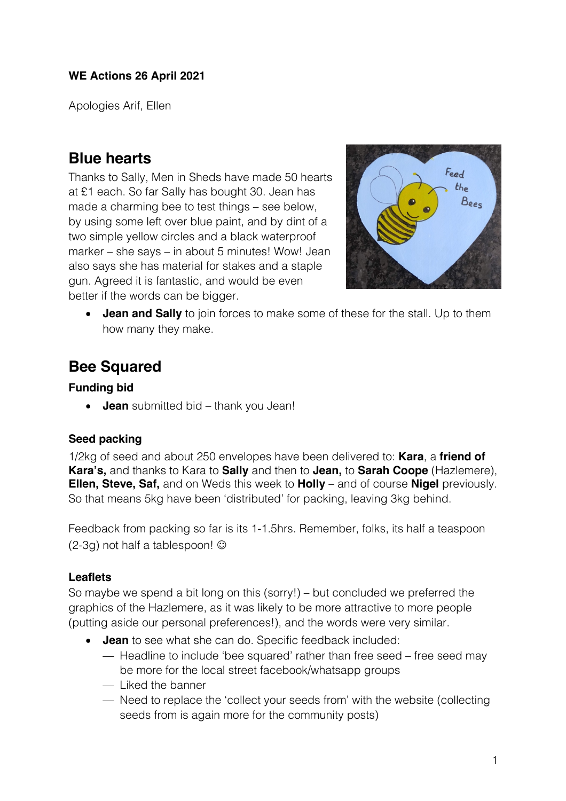Apologies Arif, Ellen

# **Blue hearts**

Thanks to Sally, Men in Sheds have made 50 hearts at £1 each. So far Sally has bought 30. Jean has made a charming bee to test things – see below, by using some left over blue paint, and by dint of a two simple yellow circles and a black waterproof marker – she says – in about 5 minutes! Wow! Jean also says she has material for stakes and a staple gun. Agreed it is fantastic, and would be even better if the words can be bigger.



• **Jean and Sally** to join forces to make some of these for the stall. Up to them how many they make.

# **Bee Squared**

### **Funding bid**

• **Jean** submitted bid – thank you Jean!

## **Seed packing**

1/2kg of seed and about 250 envelopes have been delivered to: **Kara**, a **friend of Kara's,** and thanks to Kara to **Sally** and then to **Jean,** to **Sarah Coope** (Hazlemere), **Ellen, Steve, Saf,** and on Weds this week to **Holly** – and of course **Nigel** previously. So that means 5kg have been 'distributed' for packing, leaving 3kg behind.

Feedback from packing so far is its 1-1.5hrs. Remember, folks, its half a teaspoon  $(2-3g)$  not half a tablespoon!  $\odot$ 

## **Leaflets**

So maybe we spend a bit long on this (sorry!) – but concluded we preferred the graphics of the Hazlemere, as it was likely to be more attractive to more people (putting aside our personal preferences!), and the words were very similar.

- **Jean** to see what she can do. Specific feedback included:
	- Headline to include 'bee squared' rather than free seed free seed may be more for the local street facebook/whatsapp groups
	- Liked the banner
	- Need to replace the 'collect your seeds from' with the website (collecting seeds from is again more for the community posts)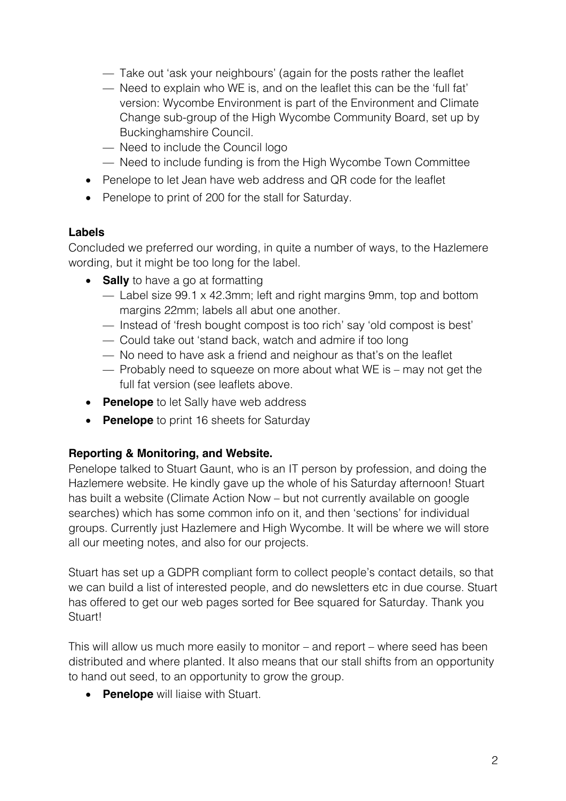- Take out 'ask your neighbours' (again for the posts rather the leaflet
- Need to explain who WE is, and on the leaflet this can be the 'full fat' version: Wycombe Environment is part of the Environment and Climate Change sub-group of the High Wycombe Community Board, set up by Buckinghamshire Council.
- Need to include the Council logo
- Need to include funding is from the High Wycombe Town Committee
- Penelope to let Jean have web address and QR code for the leaflet
- Penelope to print of 200 for the stall for Saturday.

#### **Labels**

Concluded we preferred our wording, in quite a number of ways, to the Hazlemere wording, but it might be too long for the label.

- **Sally** to have a go at formatting
	- Label size 99.1 x 42.3mm; left and right margins 9mm, top and bottom margins 22mm; labels all abut one another.
	- Instead of 'fresh bought compost is too rich' say 'old compost is best'
	- Could take out 'stand back, watch and admire if too long
	- No need to have ask a friend and neighour as that's on the leaflet
	- Probably need to squeeze on more about what WE is may not get the full fat version (see leaflets above.
- **Penelope** to let Sally have web address
- **Penelope** to print 16 sheets for Saturday

#### **Reporting & Monitoring, and Website.**

Penelope talked to Stuart Gaunt, who is an IT person by profession, and doing the Hazlemere website. He kindly gave up the whole of his Saturday afternoon! Stuart has built a website (Climate Action Now – but not currently available on google searches) which has some common info on it, and then 'sections' for individual groups. Currently just Hazlemere and High Wycombe. It will be where we will store all our meeting notes, and also for our projects.

Stuart has set up a GDPR compliant form to collect people's contact details, so that we can build a list of interested people, and do newsletters etc in due course. Stuart has offered to get our web pages sorted for Bee squared for Saturday. Thank you Stuart!

This will allow us much more easily to monitor – and report – where seed has been distributed and where planted. It also means that our stall shifts from an opportunity to hand out seed, to an opportunity to grow the group.

• **Penelope** will liaise with Stuart.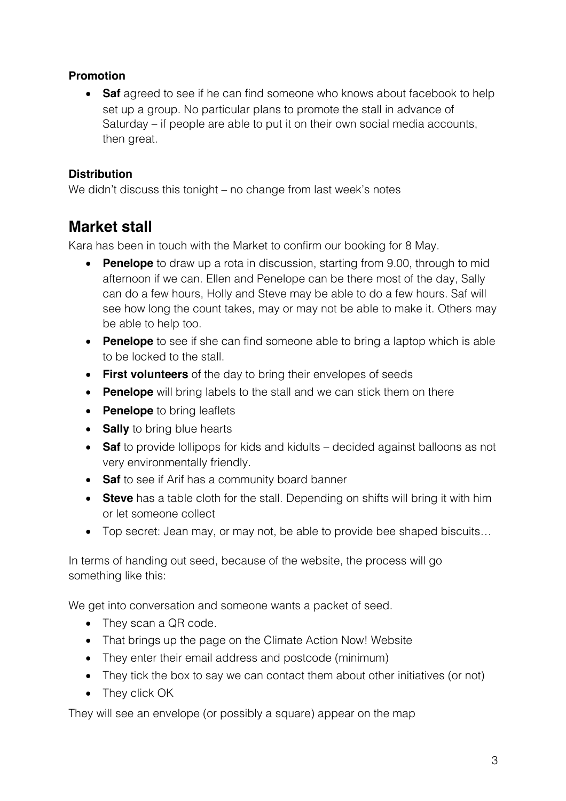### **Promotion**

• **Saf** agreed to see if he can find someone who knows about facebook to help set up a group. No particular plans to promote the stall in advance of Saturday – if people are able to put it on their own social media accounts, then great.

#### **Distribution**

We didn't discuss this tonight – no change from last week's notes

# **Market stall**

Kara has been in touch with the Market to confirm our booking for 8 May.

- **Penelope** to draw up a rota in discussion, starting from 9.00, through to mid afternoon if we can. Ellen and Penelope can be there most of the day, Sally can do a few hours, Holly and Steve may be able to do a few hours. Saf will see how long the count takes, may or may not be able to make it. Others may be able to help too.
- **Penelope** to see if she can find someone able to bring a laptop which is able to be locked to the stall.
- **First volunteers** of the day to bring their envelopes of seeds
- **Penelope** will bring labels to the stall and we can stick them on there
- **Penelope** to bring leaflets
- **Sally** to bring blue hearts
- **Saf** to provide lollipops for kids and kidults decided against balloons as not very environmentally friendly.
- **Saf** to see if Arif has a community board banner
- **Steve** has a table cloth for the stall. Depending on shifts will bring it with him or let someone collect
- Top secret: Jean may, or may not, be able to provide bee shaped biscuits...

In terms of handing out seed, because of the website, the process will go something like this:

We get into conversation and someone wants a packet of seed.

- They scan a QR code.
- That brings up the page on the Climate Action Now! Website
- They enter their email address and postcode (minimum)
- They tick the box to say we can contact them about other initiatives (or not)
- They click OK

They will see an envelope (or possibly a square) appear on the map